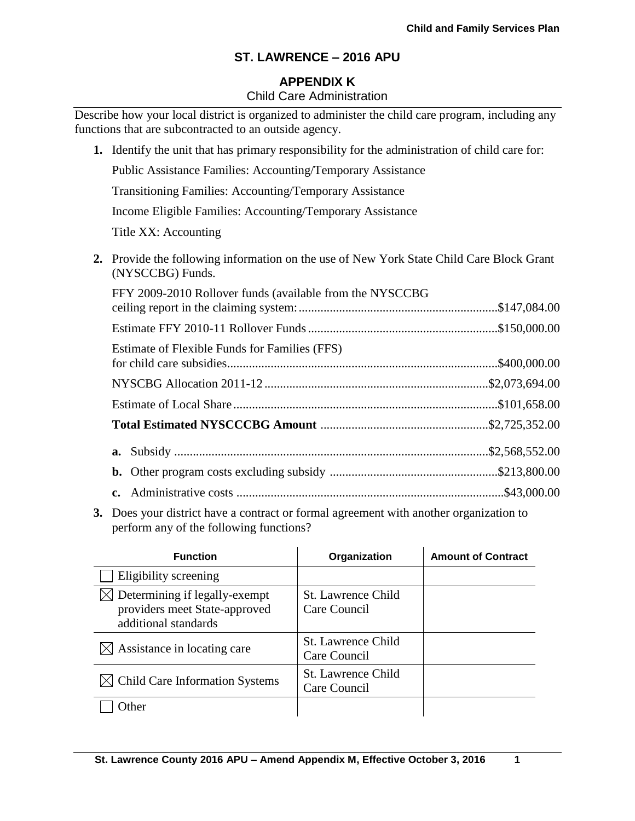# **APPENDIX K**

## Child Care Administration

Describe how your local district is organized to administer the child care program, including any functions that are subcontracted to an outside agency.

**1.** Identify the unit that has primary responsibility for the administration of child care for: Public Assistance Families: Accounting/Temporary Assistance Transitioning Families: Accounting/Temporary Assistance Income Eligible Families: Accounting/Temporary Assistance Title XX: Accounting **2.** Provide the following information on the use of New York State Child Care Block Grant (NYSCCBG) Funds. FFY 2009-2010 Rollover funds (available from the NYSCCBG ceiling report in the claiming system:................................................................\$147,084.00 Estimate FFY 2010-11 Rollover Funds.............................................................\$150,000.00

| Estimate of Flexible Funds for Families (FFS) |  |
|-----------------------------------------------|--|
|                                               |  |
|                                               |  |
|                                               |  |
|                                               |  |
|                                               |  |
|                                               |  |
|                                               |  |

**3.** Does your district have a contract or formal agreement with another organization to perform any of the following functions?

| <b>Function</b>                                                                        | Organization                              | <b>Amount of Contract</b> |
|----------------------------------------------------------------------------------------|-------------------------------------------|---------------------------|
| Eligibility screening                                                                  |                                           |                           |
| Determining if legally-exempt<br>providers meet State-approved<br>additional standards | St. Lawrence Child<br>Care Council        |                           |
| $\bowtie$ Assistance in locating care                                                  | <b>St. Lawrence Child</b><br>Care Council |                           |
| $\boxtimes$ Child Care Information Systems                                             | <b>St. Lawrence Child</b><br>Care Council |                           |
| <b>I</b> ther                                                                          |                                           |                           |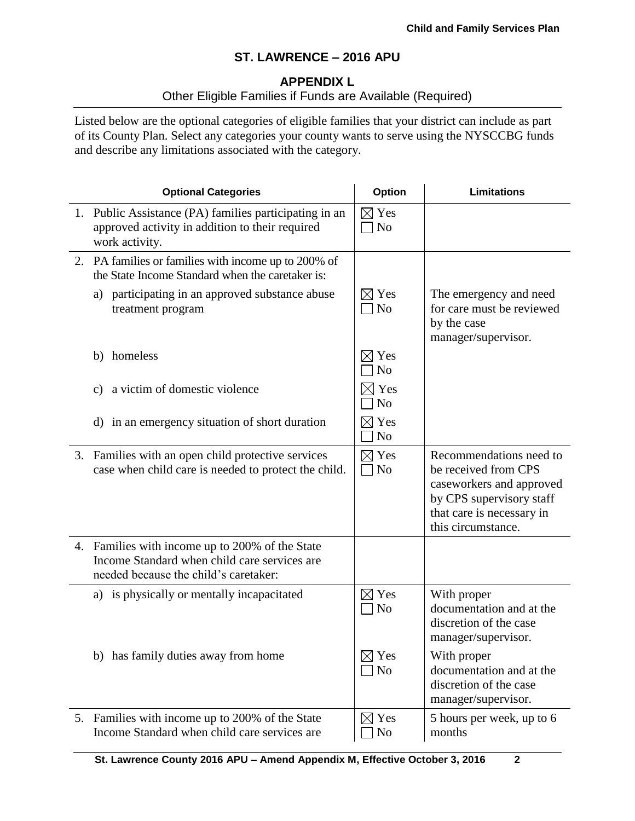# **APPENDIX L**

# Other Eligible Families if Funds are Available (Required)

Listed below are the optional categories of eligible families that your district can include as part of its County Plan. Select any categories your county wants to serve using the NYSCCBG funds and describe any limitations associated with the category.

| <b>Optional Categories</b>                                                                                                               | <b>Option</b>                      | <b>Limitations</b>                                                                                                                                         |
|------------------------------------------------------------------------------------------------------------------------------------------|------------------------------------|------------------------------------------------------------------------------------------------------------------------------------------------------------|
| 1. Public Assistance (PA) families participating in an<br>approved activity in addition to their required<br>work activity.              | $\boxtimes$ Yes<br>$\neg$ No       |                                                                                                                                                            |
| 2. PA families or families with income up to 200% of<br>the State Income Standard when the caretaker is:                                 |                                    |                                                                                                                                                            |
| a) participating in an approved substance abuse<br>treatment program                                                                     | $\boxtimes$ Yes<br>$\neg$ No       | The emergency and need<br>for care must be reviewed<br>by the case<br>manager/supervisor.                                                                  |
| b) homeless                                                                                                                              | $\boxtimes$ Yes<br>N <sub>o</sub>  |                                                                                                                                                            |
| a victim of domestic violence<br>$\mathcal{C}$ )                                                                                         | Yes<br>N <sub>o</sub>              |                                                                                                                                                            |
| d) in an emergency situation of short duration                                                                                           | $\boxtimes$ Yes<br>N <sub>o</sub>  |                                                                                                                                                            |
| 3. Families with an open child protective services<br>case when child care is needed to protect the child.                               | $\boxtimes$ Yes<br>$\Box$ No       | Recommendations need to<br>be received from CPS<br>caseworkers and approved<br>by CPS supervisory staff<br>that care is necessary in<br>this circumstance. |
| 4. Families with income up to 200% of the State<br>Income Standard when child care services are<br>needed because the child's caretaker: |                                    |                                                                                                                                                            |
| a) is physically or mentally incapacitated                                                                                               | $\boxtimes$ Yes<br>N <sub>o</sub>  | With proper<br>documentation and at the<br>discretion of the case<br>manager/supervisor.                                                                   |
| b) has family duties away from home                                                                                                      | Yes<br>$\bowtie$<br>N <sub>0</sub> | With proper<br>documentation and at the<br>discretion of the case<br>manager/supervisor.                                                                   |
| 5. Families with income up to 200% of the State<br>Income Standard when child care services are                                          | $\boxtimes$ Yes<br>No              | 5 hours per week, up to 6<br>months                                                                                                                        |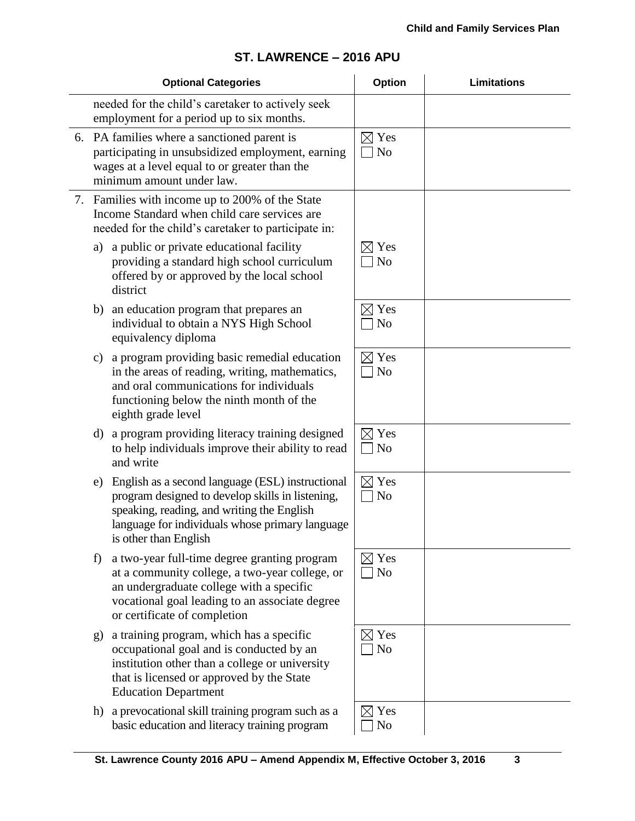| <b>Optional Categories</b> |                                                                                                                                                                                                                                |                                    | <b>Limitations</b> |
|----------------------------|--------------------------------------------------------------------------------------------------------------------------------------------------------------------------------------------------------------------------------|------------------------------------|--------------------|
|                            | needed for the child's caretaker to actively seek<br>employment for a period up to six months.                                                                                                                                 |                                    |                    |
|                            | 6. PA families where a sanctioned parent is<br>participating in unsubsidized employment, earning<br>wages at a level equal to or greater than the<br>minimum amount under law.                                                 | $\boxtimes$ Yes<br>7 No            |                    |
|                            | 7. Families with income up to 200% of the State<br>Income Standard when child care services are<br>needed for the child's caretaker to participate in:                                                                         |                                    |                    |
| a)                         | a public or private educational facility<br>providing a standard high school curriculum<br>offered by or approved by the local school<br>district                                                                              | $\boxtimes$ Yes<br>N <sub>o</sub>  |                    |
| b)                         | an education program that prepares an<br>individual to obtain a NYS High School<br>equivalency diploma                                                                                                                         | $\boxtimes$ Yes<br>N <sub>o</sub>  |                    |
| $\mathbf{c})$              | a program providing basic remedial education<br>in the areas of reading, writing, mathematics,<br>and oral communications for individuals<br>functioning below the ninth month of the<br>eighth grade level                    | $\boxtimes$ Yes<br>N <sub>o</sub>  |                    |
| d)                         | a program providing literacy training designed<br>to help individuals improve their ability to read<br>and write                                                                                                               | $\boxtimes$ Yes<br>N <sub>o</sub>  |                    |
| e)                         | English as a second language (ESL) instructional<br>program designed to develop skills in listening,<br>speaking, reading, and writing the English<br>language for individuals whose primary language<br>is other than English | $\boxtimes$ Yes<br>N <sub>o</sub>  |                    |
| f)                         | a two-year full-time degree granting program<br>at a community college, a two-year college, or<br>an undergraduate college with a specific<br>vocational goal leading to an associate degree<br>or certificate of completion   | $\boxtimes$ Yes<br><b>No</b>       |                    |
| g)                         | a training program, which has a specific<br>occupational goal and is conducted by an<br>institution other than a college or university<br>that is licensed or approved by the State<br><b>Education Department</b>             | $\boxtimes$ Yes<br>N <sub>o</sub>  |                    |
|                            | h) a prevocational skill training program such as a<br>basic education and literacy training program                                                                                                                           | Yes<br>$\bowtie$<br>N <sub>0</sub> |                    |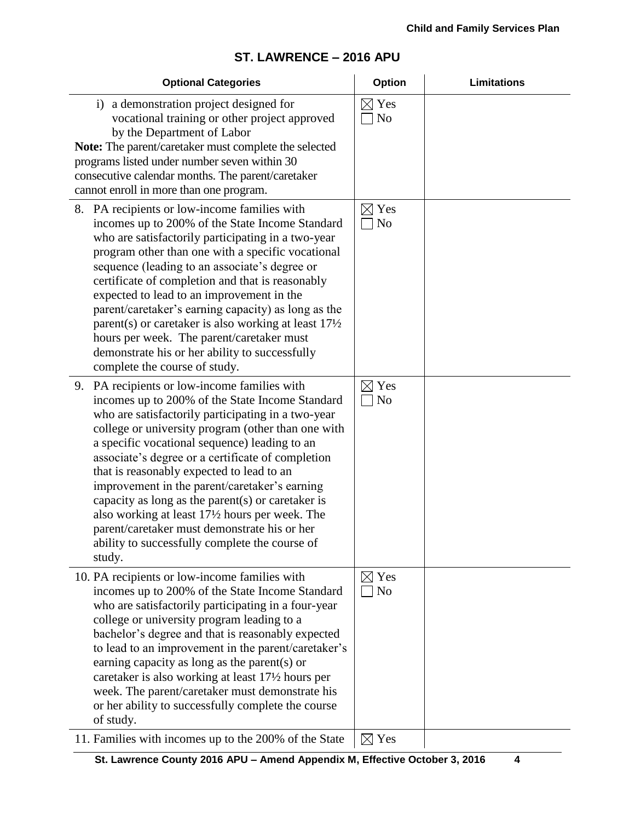#### **Optional Categories Option Limitations** i) a demonstration project designed for vocational training or other project approved by the Department of Labor **Note:** The parent/caretaker must complete the selected programs listed under number seven within 30 consecutive calendar months. The parent/caretaker cannot enroll in more than one program.  $\boxtimes$  Yes  $\Box$  No 8. PA recipients or low-income families with incomes up to 200% of the State Income Standard who are satisfactorily participating in a two-year program other than one with a specific vocational sequence (leading to an associate's degree or certificate of completion and that is reasonably expected to lead to an improvement in the parent/caretaker's earning capacity) as long as the parent(s) or caretaker is also working at least 17½ hours per week. The parent/caretaker must demonstrate his or her ability to successfully complete the course of study.  $\boxtimes$  Yes  $\Box$  No 9. PA recipients or low-income families with incomes up to 200% of the State Income Standard who are satisfactorily participating in a two-year college or university program (other than one with a specific vocational sequence) leading to an associate's degree or a certificate of completion that is reasonably expected to lead to an improvement in the parent/caretaker's earning capacity as long as the parent(s) or caretaker is also working at least 17½ hours per week. The parent/caretaker must demonstrate his or her ability to successfully complete the course of study.  $\boxtimes$  Yes  $\Box$  No 10. PA recipients or low-income families with incomes up to 200% of the State Income Standard who are satisfactorily participating in a four-year college or university program leading to a bachelor's degree and that is reasonably expected to lead to an improvement in the parent/caretaker's earning capacity as long as the parent(s) or caretaker is also working at least 17½ hours per week. The parent/caretaker must demonstrate his or her ability to successfully complete the course of study.  $\boxtimes$  Yes  $\Box$  No 11. Families with incomes up to the 200% of the State  $\Box$  Yes

# **ST. LAWRENCE – 2016 APU**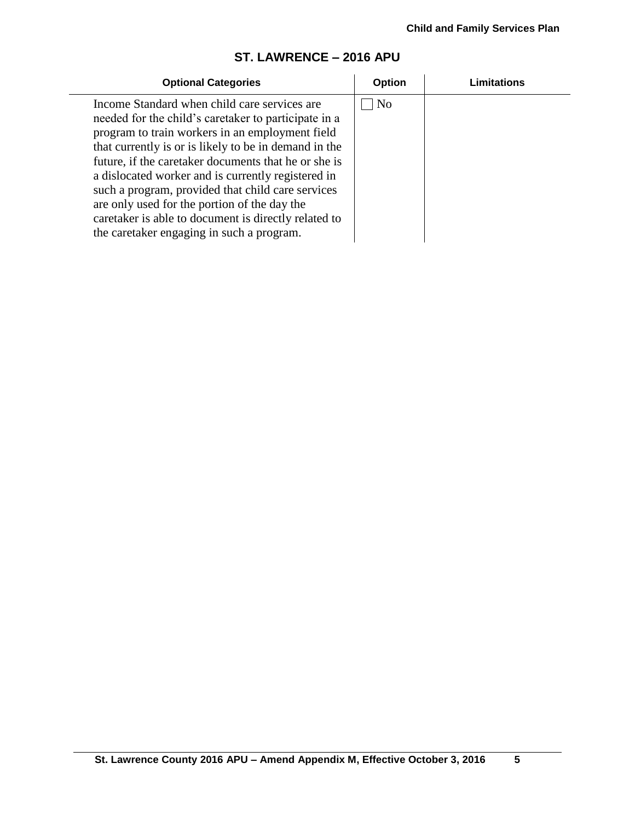| <b>Optional Categories</b>                                                                                                                                                                                                                                                                                                                                                                                                                                                                                                               | Option         | Limitations |
|------------------------------------------------------------------------------------------------------------------------------------------------------------------------------------------------------------------------------------------------------------------------------------------------------------------------------------------------------------------------------------------------------------------------------------------------------------------------------------------------------------------------------------------|----------------|-------------|
| Income Standard when child care services are<br>needed for the child's caretaker to participate in a<br>program to train workers in an employment field<br>that currently is or is likely to be in demand in the<br>future, if the caretaker documents that he or she is<br>a dislocated worker and is currently registered in<br>such a program, provided that child care services<br>are only used for the portion of the day the<br>caretaker is able to document is directly related to<br>the caretaker engaging in such a program. | N <sub>o</sub> |             |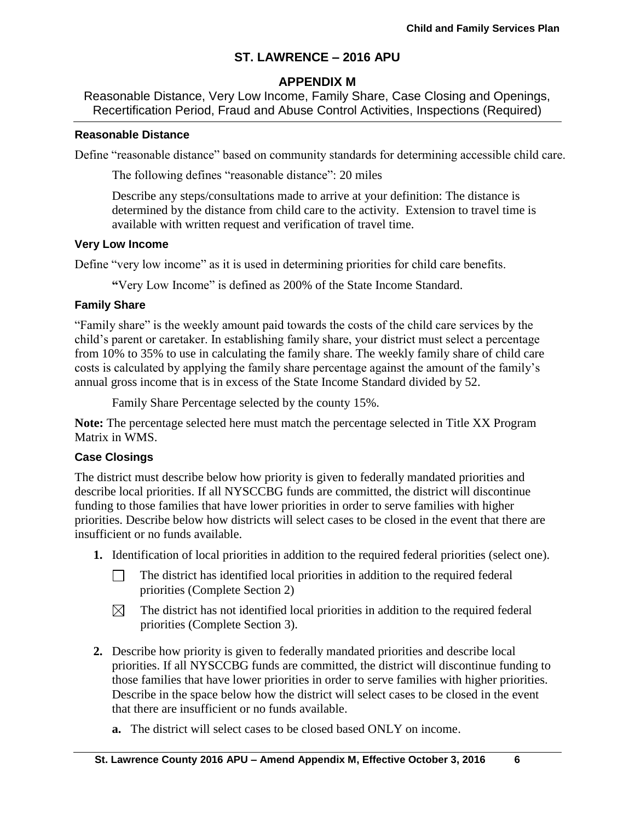# **APPENDIX M**

Reasonable Distance, Very Low Income, Family Share, Case Closing and Openings, Recertification Period, Fraud and Abuse Control Activities, Inspections (Required)

#### **Reasonable Distance**

Define "reasonable distance" based on community standards for determining accessible child care.

The following defines "reasonable distance": 20 miles

Describe any steps/consultations made to arrive at your definition: The distance is determined by the distance from child care to the activity. Extension to travel time is available with written request and verification of travel time.

#### **Very Low Income**

Define "very low income" as it is used in determining priorities for child care benefits.

**"**Very Low Income" is defined as 200% of the State Income Standard.

### **Family Share**

"Family share" is the weekly amount paid towards the costs of the child care services by the child's parent or caretaker. In establishing family share, your district must select a percentage from 10% to 35% to use in calculating the family share. The weekly family share of child care costs is calculated by applying the family share percentage against the amount of the family's annual gross income that is in excess of the State Income Standard divided by 52.

Family Share Percentage selected by the county 15%.

**Note:** The percentage selected here must match the percentage selected in Title XX Program Matrix in WMS.

### **Case Closings**

The district must describe below how priority is given to federally mandated priorities and describe local priorities. If all NYSCCBG funds are committed, the district will discontinue funding to those families that have lower priorities in order to serve families with higher priorities. Describe below how districts will select cases to be closed in the event that there are insufficient or no funds available.

- **1.** Identification of local priorities in addition to the required federal priorities (select one).
	- The district has identified local priorities in addition to the required federal П. priorities (Complete Section 2)
	- The district has not identified local priorities in addition to the required federal  $\boxtimes$ priorities (Complete Section 3).
- **2.** Describe how priority is given to federally mandated priorities and describe local priorities. If all NYSCCBG funds are committed, the district will discontinue funding to those families that have lower priorities in order to serve families with higher priorities. Describe in the space below how the district will select cases to be closed in the event that there are insufficient or no funds available.
	- **a.** The district will select cases to be closed based ONLY on income.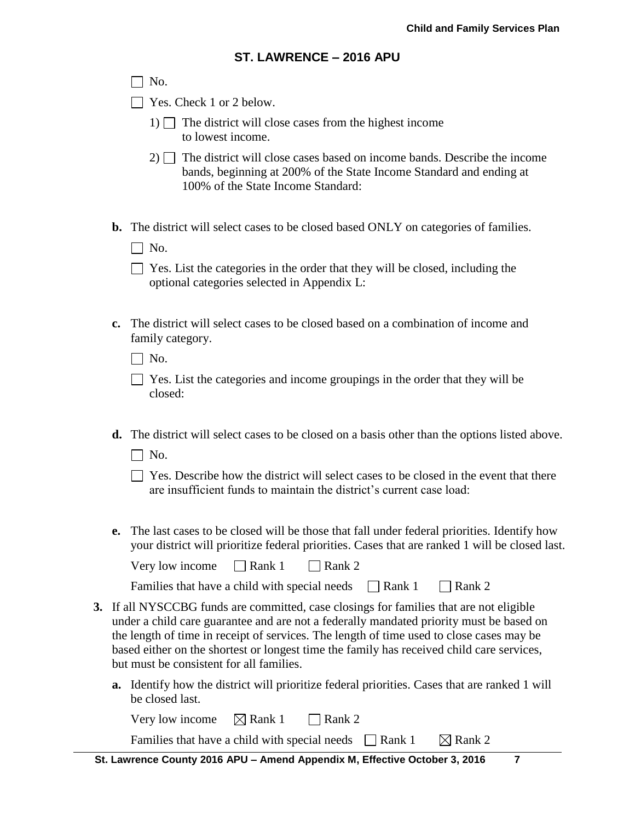|    | SI. LAWRENCE – 2016 APU                                                                                                                                                                                                                                                                                                                                                                                                 |
|----|-------------------------------------------------------------------------------------------------------------------------------------------------------------------------------------------------------------------------------------------------------------------------------------------------------------------------------------------------------------------------------------------------------------------------|
|    | No.                                                                                                                                                                                                                                                                                                                                                                                                                     |
|    | Yes. Check 1 or 2 below.                                                                                                                                                                                                                                                                                                                                                                                                |
|    | 1) The district will close cases from the highest income<br>to lowest income.                                                                                                                                                                                                                                                                                                                                           |
|    | $2)$ The district will close cases based on income bands. Describe the income<br>bands, beginning at 200% of the State Income Standard and ending at<br>100% of the State Income Standard:                                                                                                                                                                                                                              |
|    | <b>b.</b> The district will select cases to be closed based ONLY on categories of families.<br>$\Box$ No.                                                                                                                                                                                                                                                                                                               |
|    | $\Box$ Yes. List the categories in the order that they will be closed, including the<br>optional categories selected in Appendix L:                                                                                                                                                                                                                                                                                     |
| c. | The district will select cases to be closed based on a combination of income and<br>family category.                                                                                                                                                                                                                                                                                                                    |
|    | $\Box$ No.                                                                                                                                                                                                                                                                                                                                                                                                              |
|    | Yes. List the categories and income groupings in the order that they will be<br>closed:                                                                                                                                                                                                                                                                                                                                 |
|    | <b>d.</b> The district will select cases to be closed on a basis other than the options listed above.<br>$\Box$ No.                                                                                                                                                                                                                                                                                                     |
|    | Yes. Describe how the district will select cases to be closed in the event that there<br>are insufficient funds to maintain the district's current case load:                                                                                                                                                                                                                                                           |
| e. | The last cases to be closed will be those that fall under federal priorities. Identify how<br>your district will prioritize federal priorities. Cases that are ranked 1 will be closed last.                                                                                                                                                                                                                            |
|    | $\Box$ Rank 1<br>$\Box$ Rank 2<br>Very low income                                                                                                                                                                                                                                                                                                                                                                       |
|    | Families that have a child with special needs<br>$\exists$ Rank 1<br>Rank 2                                                                                                                                                                                                                                                                                                                                             |
|    | 3. If all NYSCCBG funds are committed, case closings for families that are not eligible<br>under a child care guarantee and are not a federally mandated priority must be based on<br>the length of time in receipt of services. The length of time used to close cases may be<br>based either on the shortest or longest time the family has received child care services,<br>but must be consistent for all families. |
|    | <b>a.</b> Identify how the district will prioritize federal priorities. Cases that are ranked 1 will<br>be closed last.                                                                                                                                                                                                                                                                                                 |
|    | Very low income<br>$\boxtimes$ Rank 1<br>Rank 2                                                                                                                                                                                                                                                                                                                                                                         |
|    |                                                                                                                                                                                                                                                                                                                                                                                                                         |

Families that have a child with special needs  $\Box$  Rank 1  $\Box$  Rank 2

 **St. Lawrence County 2016 APU – Amend Appendix M, Effective October 3, 2016 7**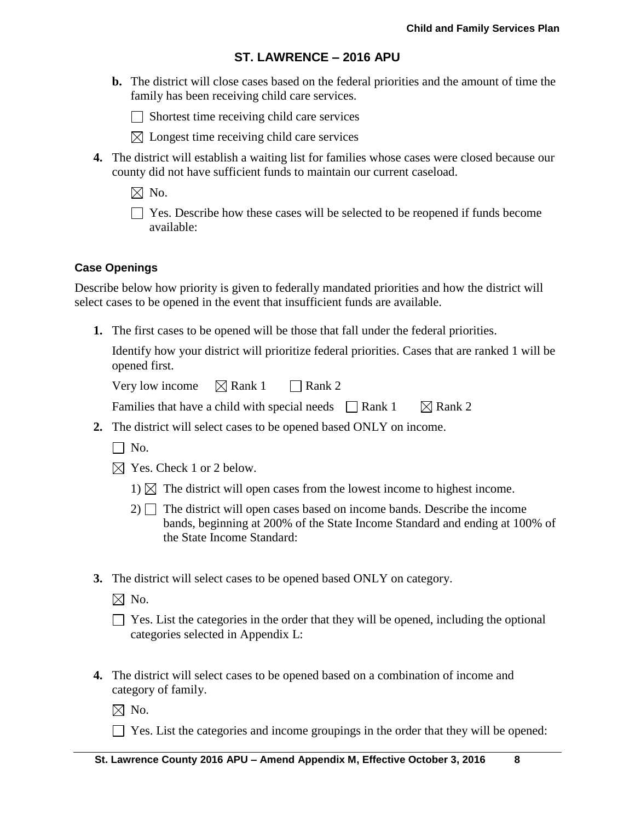**b.** The district will close cases based on the federal priorities and the amount of time the family has been receiving child care services.

 $\Box$  Shortest time receiving child care services

- $\boxtimes$  Longest time receiving child care services
- **4.** The district will establish a waiting list for families whose cases were closed because our county did not have sufficient funds to maintain our current caseload.

 $\boxtimes$  No.

Yes. Describe how these cases will be selected to be reopened if funds become available:

## **Case Openings**

Describe below how priority is given to federally mandated priorities and how the district will select cases to be opened in the event that insufficient funds are available.

**1.** The first cases to be opened will be those that fall under the federal priorities.

Identify how your district will prioritize federal priorities. Cases that are ranked 1 will be opened first.

Very low income  $\boxtimes$  Rank 1  $\Box$  Rank 2

| Families that have a child with special needs $\Box$ Rank 1 |  | $\boxtimes$ Rank 2 |
|-------------------------------------------------------------|--|--------------------|
|-------------------------------------------------------------|--|--------------------|

- **2.** The district will select cases to be opened based ONLY on income.
	- $\Box$  No.
	- $\boxtimes$  Yes. Check 1 or 2 below.
		- 1)  $\boxtimes$  The district will open cases from the lowest income to highest income.
		- $2)$  The district will open cases based on income bands. Describe the income bands, beginning at 200% of the State Income Standard and ending at 100% of the State Income Standard:
- **3.** The district will select cases to be opened based ONLY on category.

 $\boxtimes$  No.

| $\Box$ Yes. List the categories in the order that they will be opened, including the optional |  |  |
|-----------------------------------------------------------------------------------------------|--|--|
| categories selected in Appendix L:                                                            |  |  |

**4.** The district will select cases to be opened based on a combination of income and category of family.

 $\boxtimes$  No.

 $\Box$  Yes. List the categories and income groupings in the order that they will be opened: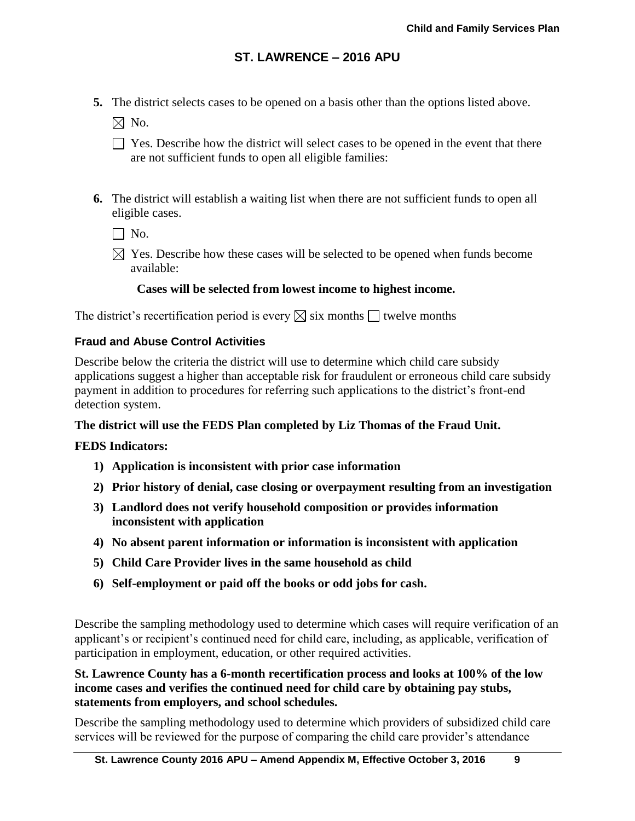**5.** The district selects cases to be opened on a basis other than the options listed above.

 $\boxtimes$  No.

- $\Box$  Yes. Describe how the district will select cases to be opened in the event that there are not sufficient funds to open all eligible families:
- **6.** The district will establish a waiting list when there are not sufficient funds to open all eligible cases.

 $\Box$  No.

 $\boxtimes$  Yes. Describe how these cases will be selected to be opened when funds become available:

## **Cases will be selected from lowest income to highest income.**

The district's recertification period is every  $\boxtimes$  six months  $\Box$  twelve months

### **Fraud and Abuse Control Activities**

Describe below the criteria the district will use to determine which child care subsidy applications suggest a higher than acceptable risk for fraudulent or erroneous child care subsidy payment in addition to procedures for referring such applications to the district's front-end detection system.

### **The district will use the FEDS Plan completed by Liz Thomas of the Fraud Unit.**

### **FEDS Indicators:**

- **1) Application is inconsistent with prior case information**
- **2) Prior history of denial, case closing or overpayment resulting from an investigation**
- **3) Landlord does not verify household composition or provides information inconsistent with application**
- **4) No absent parent information or information is inconsistent with application**
- **5) Child Care Provider lives in the same household as child**
- **6) Self-employment or paid off the books or odd jobs for cash.**

Describe the sampling methodology used to determine which cases will require verification of an applicant's or recipient's continued need for child care, including, as applicable, verification of participation in employment, education, or other required activities.

## **St. Lawrence County has a 6-month recertification process and looks at 100% of the low income cases and verifies the continued need for child care by obtaining pay stubs, statements from employers, and school schedules.**

Describe the sampling methodology used to determine which providers of subsidized child care services will be reviewed for the purpose of comparing the child care provider's attendance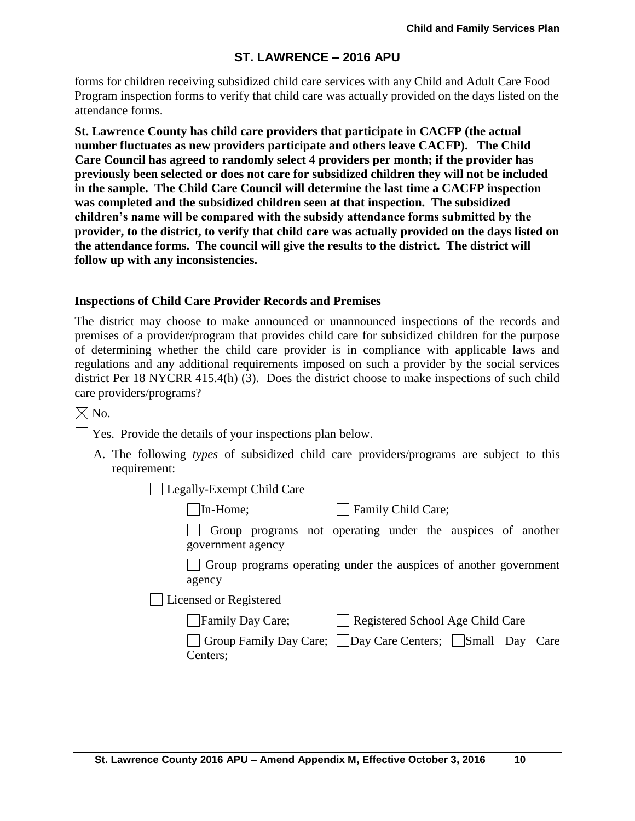forms for children receiving subsidized child care services with any Child and Adult Care Food Program inspection forms to verify that child care was actually provided on the days listed on the attendance forms.

**St. Lawrence County has child care providers that participate in CACFP (the actual number fluctuates as new providers participate and others leave CACFP). The Child Care Council has agreed to randomly select 4 providers per month; if the provider has previously been selected or does not care for subsidized children they will not be included in the sample. The Child Care Council will determine the last time a CACFP inspection was completed and the subsidized children seen at that inspection. The subsidized children's name will be compared with the subsidy attendance forms submitted by the provider, to the district, to verify that child care was actually provided on the days listed on the attendance forms. The council will give the results to the district. The district will follow up with any inconsistencies.**

#### **Inspections of Child Care Provider Records and Premises**

The district may choose to make announced or unannounced inspections of the records and premises of a provider/program that provides child care for subsidized children for the purpose of determining whether the child care provider is in compliance with applicable laws and regulations and any additional requirements imposed on such a provider by the social services district Per 18 NYCRR 415.4(h) (3). Does the district choose to make inspections of such child care providers/programs?

 $\boxtimes$  No.

 $\Box$  Yes. Provide the details of your inspections plan below.

A. The following *types* of subsidized child care providers/programs are subject to this requirement:

Legally-Exempt Child Care

In-Home; Family Child Care;

Group programs not operating under the auspices of another government agency

Group programs operating under the auspices of another government agency

Licensed or Registered

|  | Family Day Care; | Registered School Age Child Care |
|--|------------------|----------------------------------|
|--|------------------|----------------------------------|

| Group Family Day Care; Day Care Centers; Small Day Care |  |  |
|---------------------------------------------------------|--|--|
| Centers;                                                |  |  |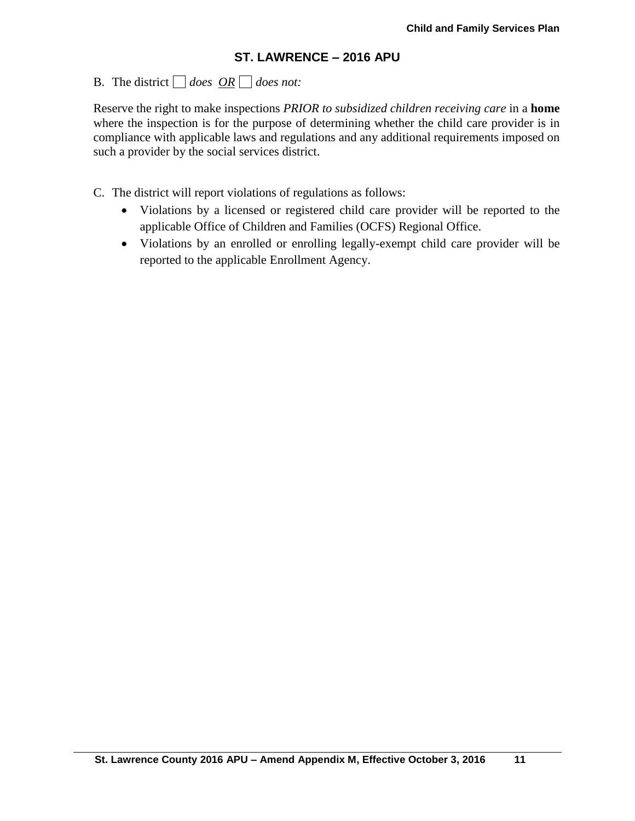# B. The district  $\Box$  does  $\overline{OR} \Box$  does not:

Reserve the right to make inspections *PRIOR to subsidized children receiving care* in a **home** where the inspection is for the purpose of determining whether the child care provider is in compliance with applicable laws and regulations and any additional requirements imposed on such a provider by the social services district.

C. The district will report violations of regulations as follows:

- Violations by a licensed or registered child care provider will be reported to the applicable Office of Children and Families (OCFS) Regional Office.
- Violations by an enrolled or enrolling legally-exempt child care provider will be reported to the applicable Enrollment Agency.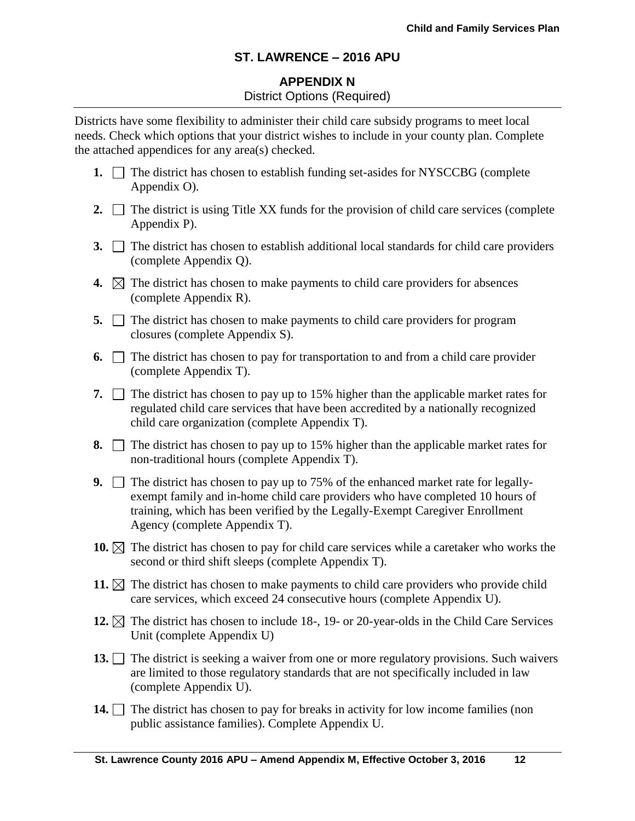# **APPENDIX N** District Options (Required)

Districts have some flexibility to administer their child care subsidy programs to meet local needs. Check which options that your district wishes to include in your county plan. Complete the attached appendices for any area(s) checked.

- **1.**  $\Box$  The district has chosen to establish funding set-asides for NYSCCBG (complete Appendix O).
- **2.**  $\Box$  The district is using Title XX funds for the provision of child care services (complete Appendix P).
- **3.**  $\Box$  The district has chosen to establish additional local standards for child care providers (complete Appendix Q).
- **4.**  $\boxtimes$  The district has chosen to make payments to child care providers for absences (complete Appendix R).
- **5.**  $\Box$  The district has chosen to make payments to child care providers for program closures (complete Appendix S).
- **6.**  $\Box$  The district has chosen to pay for transportation to and from a child care provider (complete Appendix T).
- **7.**  $\Box$  The district has chosen to pay up to 15% higher than the applicable market rates for regulated child care services that have been accredited by a nationally recognized child care organization (complete Appendix T).
- **8.**  $\Box$  The district has chosen to pay up to 15% higher than the applicable market rates for non-traditional hours (complete Appendix T).
- **9.** The district has chosen to pay up to 75% of the enhanced market rate for legallyexempt family and in-home child care providers who have completed 10 hours of training, which has been verified by the Legally-Exempt Caregiver Enrollment Agency (complete Appendix T).
- **10.**  $\boxtimes$  The district has chosen to pay for child care services while a caretaker who works the second or third shift sleeps (complete Appendix T).
- **11.**  $\boxtimes$  The district has chosen to make payments to child care providers who provide child care services, which exceed 24 consecutive hours (complete Appendix U).
- **12.**  $\boxtimes$  The district has chosen to include 18-, 19- or 20-year-olds in the Child Care Services Unit (complete Appendix U)
- 13. The district is seeking a waiver from one or more regulatory provisions. Such waivers are limited to those regulatory standards that are not specifically included in law (complete Appendix U).
- **14.** The district has chosen to pay for breaks in activity for low income families (non public assistance families). Complete Appendix U.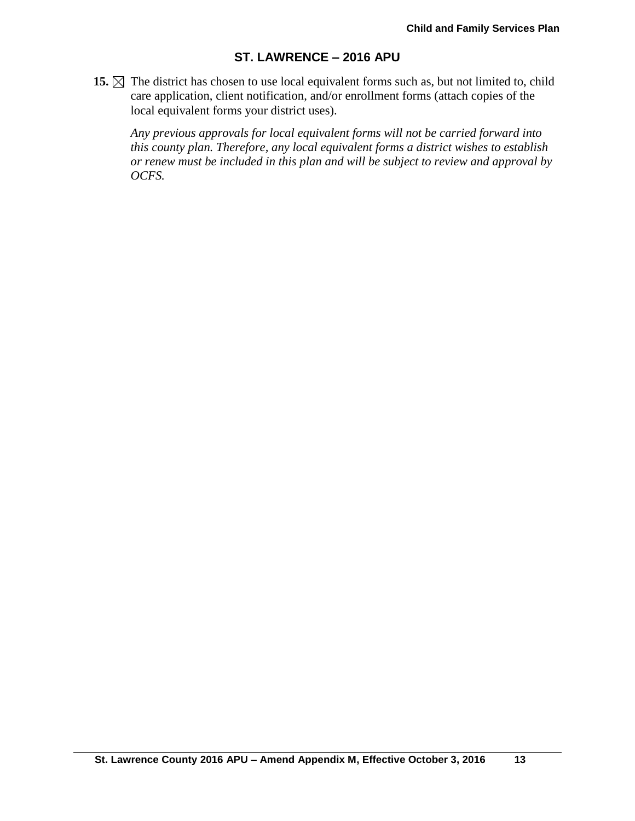**15.**  $\boxtimes$  The district has chosen to use local equivalent forms such as, but not limited to, child care application, client notification, and/or enrollment forms (attach copies of the local equivalent forms your district uses).

*Any previous approvals for local equivalent forms will not be carried forward into this county plan. Therefore, any local equivalent forms a district wishes to establish or renew must be included in this plan and will be subject to review and approval by OCFS.*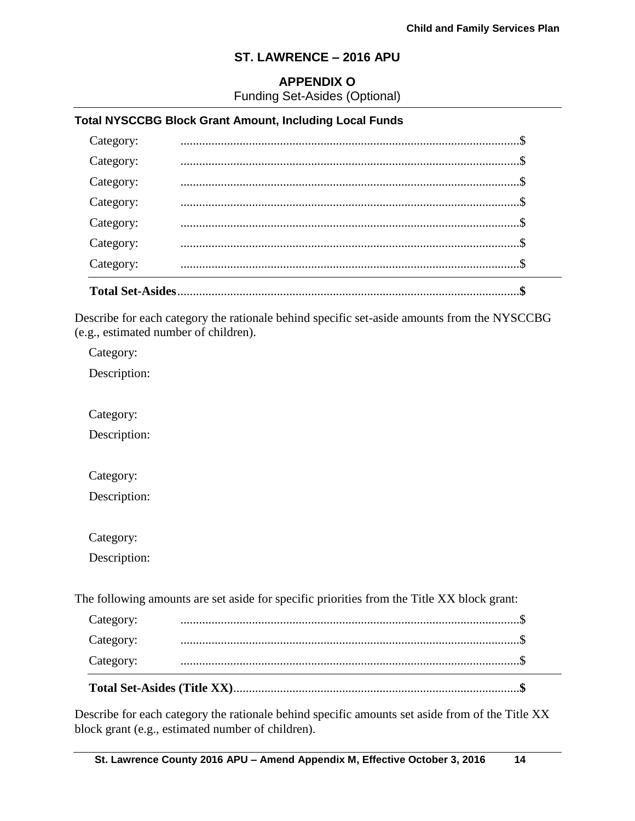## **APPENDIX O**

Funding Set-Asides (Optional)

## **Total NYSCCBG Block Grant Amount, Including Local Funds**

| Category:               |  |
|-------------------------|--|
| Category:               |  |
| Category:               |  |
| Category:               |  |
| Category:               |  |
| Category:               |  |
| Category:               |  |
| <b>Total Set-Asides</b> |  |

Describe for each category the rationale behind specific set-aside amounts from the NYSCCBG (e.g., estimated number of children).

Category:

Description:

Category:

Description:

Category:

Description:

Category:

Description:

The following amounts are set aside for specific priorities from the Title XX block grant:

| Category: |  |  |
|-----------|--|--|
| Category: |  |  |
| Category: |  |  |

Describe for each category the rationale behind specific amounts set aside from of the Title XX block grant (e.g., estimated number of children).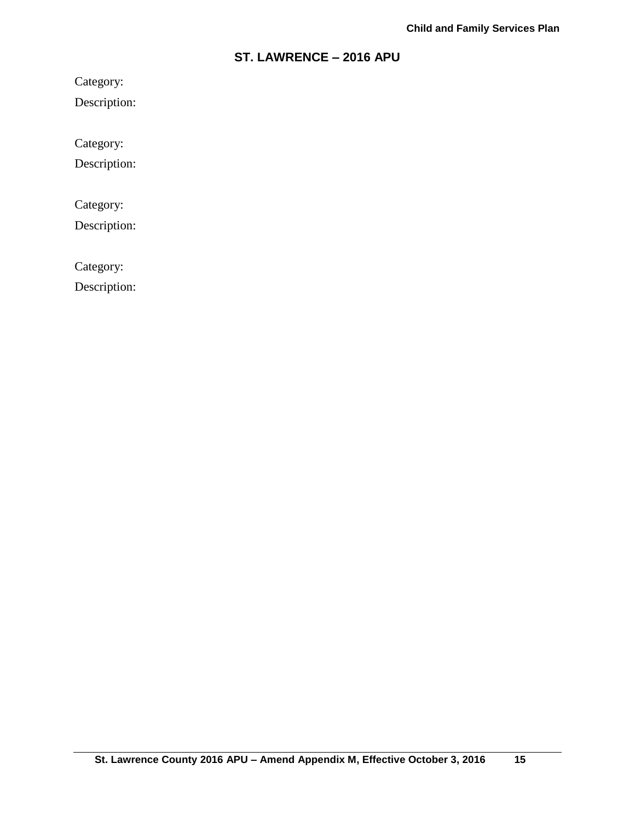Category:

Description:

Category:

Description:

Category:

Description:

Category:

Description: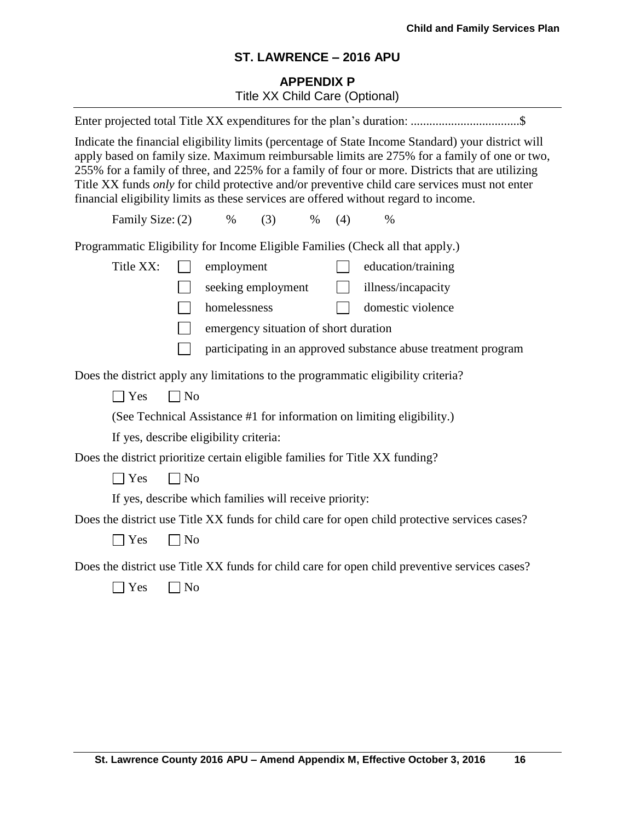# **APPENDIX P** Title XX Child Care (Optional)

|                                                                                                                                                                                                                                                                                                                                                                                                                                                                                                |                                       | Enter projected total Title XX expenditures for the plan's duration: \$                       |  |  |  |  |
|------------------------------------------------------------------------------------------------------------------------------------------------------------------------------------------------------------------------------------------------------------------------------------------------------------------------------------------------------------------------------------------------------------------------------------------------------------------------------------------------|---------------------------------------|-----------------------------------------------------------------------------------------------|--|--|--|--|
| Indicate the financial eligibility limits (percentage of State Income Standard) your district will<br>apply based on family size. Maximum reimbursable limits are 275% for a family of one or two,<br>255% for a family of three, and 225% for a family of four or more. Districts that are utilizing<br>Title XX funds only for child protective and/or preventive child care services must not enter<br>financial eligibility limits as these services are offered without regard to income. |                                       |                                                                                               |  |  |  |  |
| Family Size: (2)<br>$\%$                                                                                                                                                                                                                                                                                                                                                                                                                                                                       | (3)<br>$\%$                           | (4)<br>$\%$                                                                                   |  |  |  |  |
| Programmatic Eligibility for Income Eligible Families (Check all that apply.)                                                                                                                                                                                                                                                                                                                                                                                                                  |                                       |                                                                                               |  |  |  |  |
| Title XX:                                                                                                                                                                                                                                                                                                                                                                                                                                                                                      | employment                            | education/training                                                                            |  |  |  |  |
|                                                                                                                                                                                                                                                                                                                                                                                                                                                                                                | seeking employment                    | illness/incapacity<br>$\Box$                                                                  |  |  |  |  |
|                                                                                                                                                                                                                                                                                                                                                                                                                                                                                                | homelessness                          | domestic violence                                                                             |  |  |  |  |
|                                                                                                                                                                                                                                                                                                                                                                                                                                                                                                | emergency situation of short duration |                                                                                               |  |  |  |  |
|                                                                                                                                                                                                                                                                                                                                                                                                                                                                                                |                                       | participating in an approved substance abuse treatment program                                |  |  |  |  |
| Does the district apply any limitations to the programmatic eligibility criteria?                                                                                                                                                                                                                                                                                                                                                                                                              |                                       |                                                                                               |  |  |  |  |
| $\Box$ No<br>$\Box$ Yes                                                                                                                                                                                                                                                                                                                                                                                                                                                                        |                                       |                                                                                               |  |  |  |  |
| (See Technical Assistance #1 for information on limiting eligibility.)                                                                                                                                                                                                                                                                                                                                                                                                                         |                                       |                                                                                               |  |  |  |  |
| If yes, describe eligibility criteria:                                                                                                                                                                                                                                                                                                                                                                                                                                                         |                                       |                                                                                               |  |  |  |  |
| Does the district prioritize certain eligible families for Title XX funding?                                                                                                                                                                                                                                                                                                                                                                                                                   |                                       |                                                                                               |  |  |  |  |
| $\exists$ Yes<br>$\neg$ No                                                                                                                                                                                                                                                                                                                                                                                                                                                                     |                                       |                                                                                               |  |  |  |  |
| If yes, describe which families will receive priority:                                                                                                                                                                                                                                                                                                                                                                                                                                         |                                       |                                                                                               |  |  |  |  |
|                                                                                                                                                                                                                                                                                                                                                                                                                                                                                                |                                       | Does the district use Title XX funds for child care for open child protective services cases? |  |  |  |  |
| $\exists$ Yes<br>$\Box$ No                                                                                                                                                                                                                                                                                                                                                                                                                                                                     |                                       |                                                                                               |  |  |  |  |
|                                                                                                                                                                                                                                                                                                                                                                                                                                                                                                |                                       | Does the district use Title XX funds for child care for open child preventive services cases? |  |  |  |  |
| ] Yes<br>N <sub>o</sub>                                                                                                                                                                                                                                                                                                                                                                                                                                                                        |                                       |                                                                                               |  |  |  |  |
|                                                                                                                                                                                                                                                                                                                                                                                                                                                                                                |                                       |                                                                                               |  |  |  |  |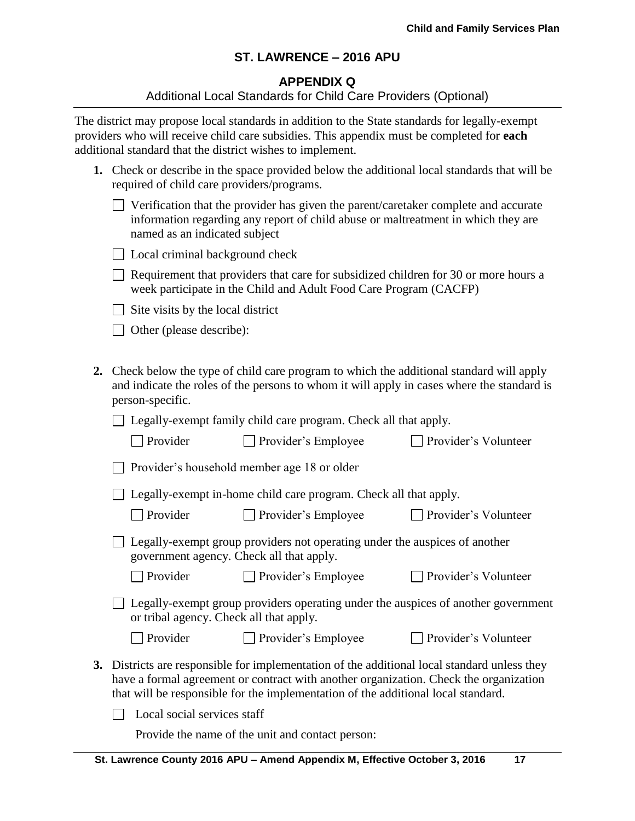### **APPENDIX Q**

#### Additional Local Standards for Child Care Providers (Optional)

The district may propose local standards in addition to the State standards for legally-exempt providers who will receive child care subsidies. This appendix must be completed for **each** additional standard that the district wishes to implement.

| 1. Check or describe in the space provided below the additional local standards that will be |
|----------------------------------------------------------------------------------------------|
| required of child care providers/programs.                                                   |

| $\Box$ Verification that the provider has given the parent/caretaker complete and accurate |
|--------------------------------------------------------------------------------------------|
| information regarding any report of child abuse or maltreatment in which they are          |
| named as an indicated subject                                                              |

|  |  |  |  |  | □ Local criminal background check |  |
|--|--|--|--|--|-----------------------------------|--|
|--|--|--|--|--|-----------------------------------|--|

 $\Box$  Requirement that providers that care for subsidized children for 30 or more hours a week participate in the Child and Adult Food Care Program (CACFP)

 $\Box$  Site visits by the local district

 $\Box$  Other (please describe):

**2.** Check below the type of child care program to which the additional standard will apply and indicate the roles of the persons to whom it will apply in cases where the standard is person-specific.

□ Legally-exempt family child care program. Check all that apply.

| $\Box$ Provider | $\Box$ Provider's Employee | $\Box$ Provider's Volunteer |
|-----------------|----------------------------|-----------------------------|
|-----------------|----------------------------|-----------------------------|

Provider's household member age 18 or older

□ Legally-exempt in-home child care program. Check all that apply.

□ Provider Provider's Employee Provider's Volunteer

| $\Box$ Legally-exempt group providers not operating under the auspices of another |
|-----------------------------------------------------------------------------------|
| government agency. Check all that apply.                                          |

□ Provider Provider's Employee Provider's Volunteer

| $\Box$ Legally-exempt group providers operating under the auspices of another government |  |  |  |
|------------------------------------------------------------------------------------------|--|--|--|
| or tribal agency. Check all that apply.                                                  |  |  |  |

□ Provider Provider's Employee Provider's Volunteer

- 
- **3.** Districts are responsible for implementation of the additional local standard unless they have a formal agreement or contract with another organization. Check the organization that will be responsible for the implementation of the additional local standard.

 $\Box$  Local social services staff

Provide the name of the unit and contact person: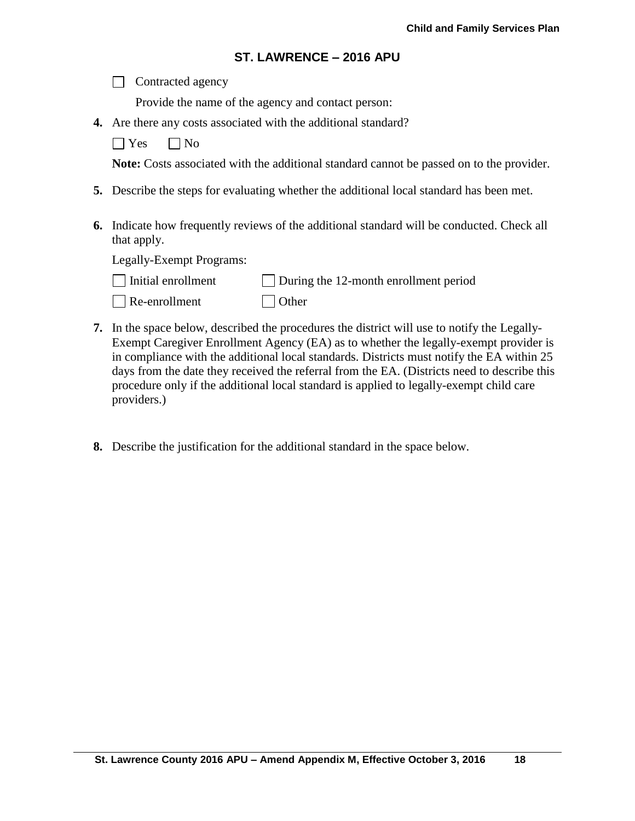|  |  | Contracted agency |
|--|--|-------------------|
|--|--|-------------------|

Provide the name of the agency and contact person:

**4.** Are there any costs associated with the additional standard?

 $\Box$  Yes  $\Box$  No

**Note:** Costs associated with the additional standard cannot be passed on to the provider.

- **5.** Describe the steps for evaluating whether the additional local standard has been met.
- **6.** Indicate how frequently reviews of the additional standard will be conducted. Check all that apply.

Legally-Exempt Programs:

| $\Box$ Initial enrollment | $\Box$ During the 12-month enrollment period |
|---------------------------|----------------------------------------------|
|                           |                                              |

Re-enrollment Other

- **7.** In the space below, described the procedures the district will use to notify the Legally-Exempt Caregiver Enrollment Agency (EA) as to whether the legally-exempt provider is in compliance with the additional local standards. Districts must notify the EA within 25 days from the date they received the referral from the EA. (Districts need to describe this procedure only if the additional local standard is applied to legally-exempt child care providers.)
- **8.** Describe the justification for the additional standard in the space below.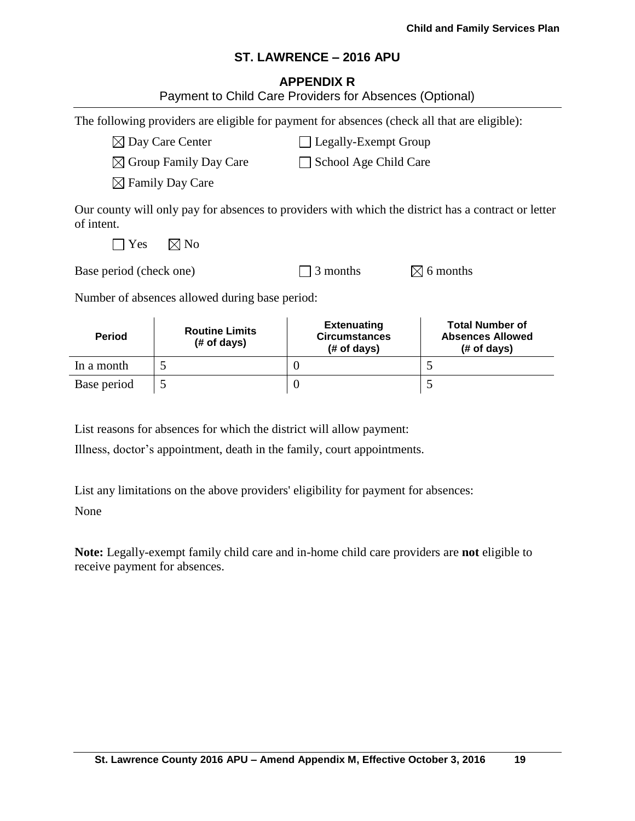### **APPENDIX R**

|                                                             | Payment to Child Care Providers for Absences (Optional)                                      |                                                           |                                                                                                     |  |  |  |
|-------------------------------------------------------------|----------------------------------------------------------------------------------------------|-----------------------------------------------------------|-----------------------------------------------------------------------------------------------------|--|--|--|
|                                                             | The following providers are eligible for payment for absences (check all that are eligible): |                                                           |                                                                                                     |  |  |  |
| $\boxtimes$ Day Care Center<br>Legally-Exempt Group         |                                                                                              |                                                           |                                                                                                     |  |  |  |
|                                                             | $\boxtimes$ Group Family Day Care<br>School Age Child Care                                   |                                                           |                                                                                                     |  |  |  |
| $\boxtimes$ Family Day Care                                 |                                                                                              |                                                           |                                                                                                     |  |  |  |
| of intent.<br>Yes                                           | $\boxtimes$ No                                                                               |                                                           | Our county will only pay for absences to providers with which the district has a contract or letter |  |  |  |
| 3 months<br>$\boxtimes$ 6 months<br>Base period (check one) |                                                                                              |                                                           |                                                                                                     |  |  |  |
|                                                             | Number of absences allowed during base period:                                               |                                                           |                                                                                                     |  |  |  |
| <b>Period</b>                                               | <b>Routine Limits</b><br>(# of days)                                                         | <b>Extenuating</b><br><b>Circumstances</b><br>(# of days) | <b>Total Number of</b><br><b>Absences Allowed</b><br>(# of days)                                    |  |  |  |
| In a month                                                  | 5                                                                                            | $\theta$                                                  | 5                                                                                                   |  |  |  |
| Base period                                                 | 5                                                                                            | $\theta$                                                  | 5                                                                                                   |  |  |  |

List reasons for absences for which the district will allow payment:

Illness, doctor's appointment, death in the family, court appointments.

List any limitations on the above providers' eligibility for payment for absences:

None

**Note:** Legally-exempt family child care and in-home child care providers are **not** eligible to receive payment for absences.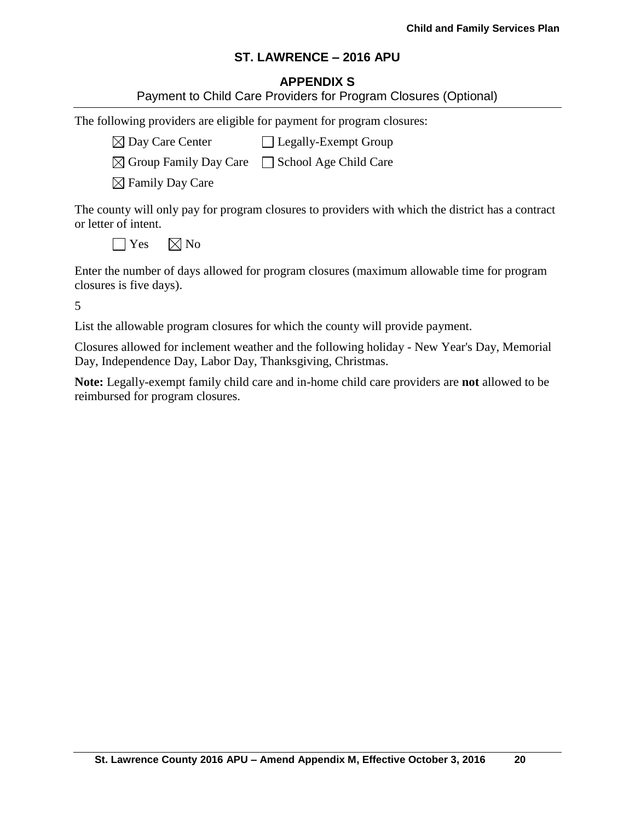# **APPENDIX S**

|               |  |  | Payment to Child Care Providers for Program Closures (Optional) |  |
|---------------|--|--|-----------------------------------------------------------------|--|
| $\sim$ $\sim$ |  |  |                                                                 |  |

The following providers are eligible for payment for program closures:

 $\boxtimes$  Day Care Center  $\Box$  Legally-Exempt Group

 $\boxtimes$  Group Family Day Care  $\Box$  School Age Child Care

 $\boxtimes$  Family Day Care

The county will only pay for program closures to providers with which the district has a contract or letter of intent.

 $\bigcap$  Yes  $\bigotimes$  No

Enter the number of days allowed for program closures (maximum allowable time for program closures is five days).

5

List the allowable program closures for which the county will provide payment.

Closures allowed for inclement weather and the following holiday - New Year's Day, Memorial Day, Independence Day, Labor Day, Thanksgiving, Christmas.

**Note:** Legally-exempt family child care and in-home child care providers are **not** allowed to be reimbursed for program closures.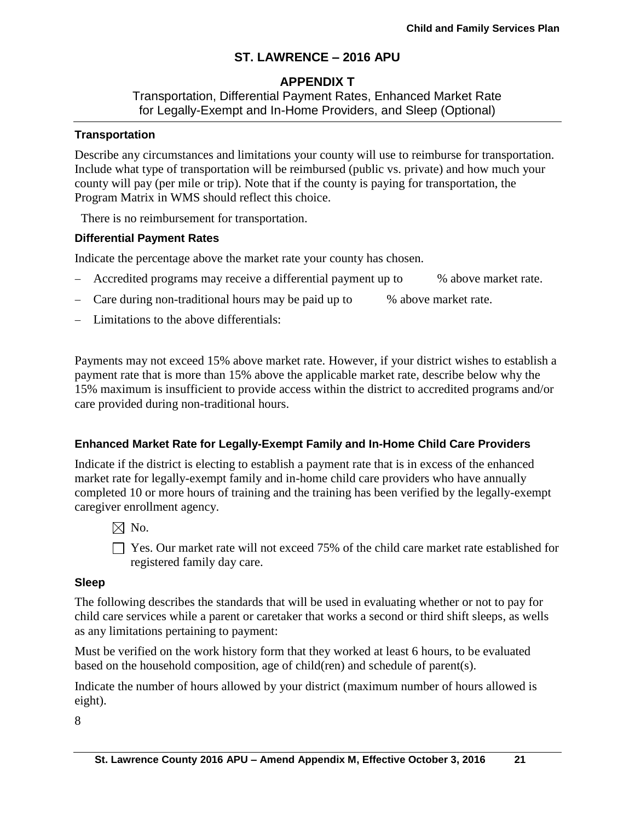# **APPENDIX T**

Transportation, Differential Payment Rates, Enhanced Market Rate for Legally-Exempt and In-Home Providers, and Sleep (Optional)

### **Transportation**

Describe any circumstances and limitations your county will use to reimburse for transportation. Include what type of transportation will be reimbursed (public vs. private) and how much your county will pay (per mile or trip). Note that if the county is paying for transportation, the Program Matrix in WMS should reflect this choice.

There is no reimbursement for transportation.

## **Differential Payment Rates**

Indicate the percentage above the market rate your county has chosen.

- Accredited programs may receive a differential payment up to % above market rate.
- Care during non-traditional hours may be paid up to % above market rate.
- Limitations to the above differentials:

Payments may not exceed 15% above market rate. However, if your district wishes to establish a payment rate that is more than 15% above the applicable market rate, describe below why the 15% maximum is insufficient to provide access within the district to accredited programs and/or care provided during non-traditional hours.

# **Enhanced Market Rate for Legally-Exempt Family and In-Home Child Care Providers**

Indicate if the district is electing to establish a payment rate that is in excess of the enhanced market rate for legally-exempt family and in-home child care providers who have annually completed 10 or more hours of training and the training has been verified by the legally-exempt caregiver enrollment agency.

- $\boxtimes$  No.
- $\Box$  Yes. Our market rate will not exceed 75% of the child care market rate established for registered family day care.

### **Sleep**

The following describes the standards that will be used in evaluating whether or not to pay for child care services while a parent or caretaker that works a second or third shift sleeps, as wells as any limitations pertaining to payment:

Must be verified on the work history form that they worked at least 6 hours, to be evaluated based on the household composition, age of child(ren) and schedule of parent(s).

Indicate the number of hours allowed by your district (maximum number of hours allowed is eight).

8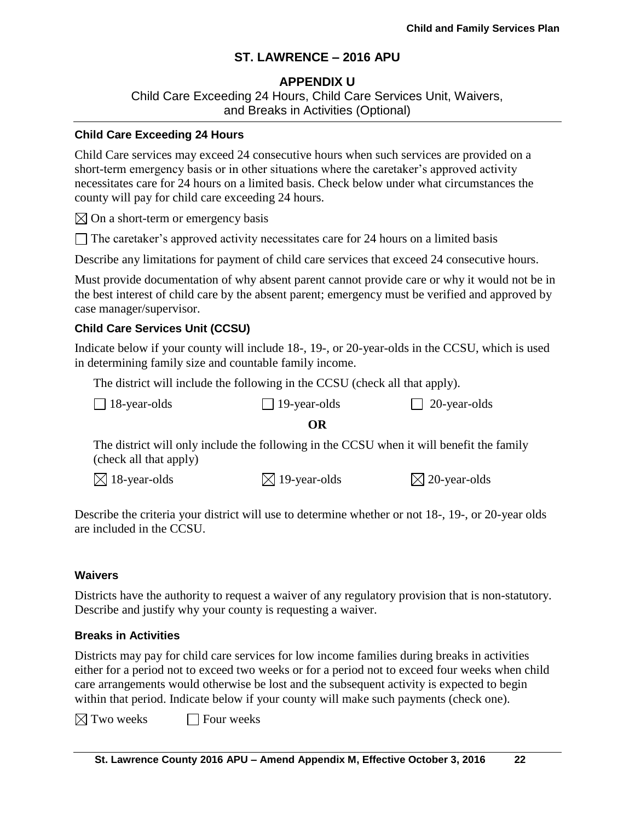# **APPENDIX U**

Child Care Exceeding 24 Hours, Child Care Services Unit, Waivers, and Breaks in Activities (Optional)

#### **Child Care Exceeding 24 Hours**

Child Care services may exceed 24 consecutive hours when such services are provided on a short-term emergency basis or in other situations where the caretaker's approved activity necessitates care for 24 hours on a limited basis. Check below under what circumstances the county will pay for child care exceeding 24 hours.

 $\boxtimes$  On a short-term or emergency basis

 $\Box$  The caretaker's approved activity necessitates care for 24 hours on a limited basis

Describe any limitations for payment of child care services that exceed 24 consecutive hours.

Must provide documentation of why absent parent cannot provide care or why it would not be in the best interest of child care by the absent parent; emergency must be verified and approved by case manager/supervisor.

## **Child Care Services Unit (CCSU)**

Indicate below if your county will include 18-, 19-, or 20-year-olds in the CCSU, which is used in determining family size and countable family income.

The district will include the following in the CCSU (check all that apply).

| $\Box$ 18-year-olds | $\Box$ 19-year-olds | $\Box$ |
|---------------------|---------------------|--------|
|                     | OR                  |        |

The district will only include the following in the CCSU when it will benefit the family (check all that apply)

 $\boxtimes$  18-year-olds  $\boxtimes$  19-year-olds  $\boxtimes$  20-year-olds

18-year-olds 19-year-olds 20-year-olds

Describe the criteria your district will use to determine whether or not 18-, 19-, or 20-year olds are included in the CCSU.

### **Waivers**

Districts have the authority to request a waiver of any regulatory provision that is non-statutory. Describe and justify why your county is requesting a waiver.

### **Breaks in Activities**

Districts may pay for child care services for low income families during breaks in activities either for a period not to exceed two weeks or for a period not to exceed four weeks when child care arrangements would otherwise be lost and the subsequent activity is expected to begin within that period. Indicate below if your county will make such payments (check one).

 $\boxtimes$  Two weeks  $\Box$  Four weeks